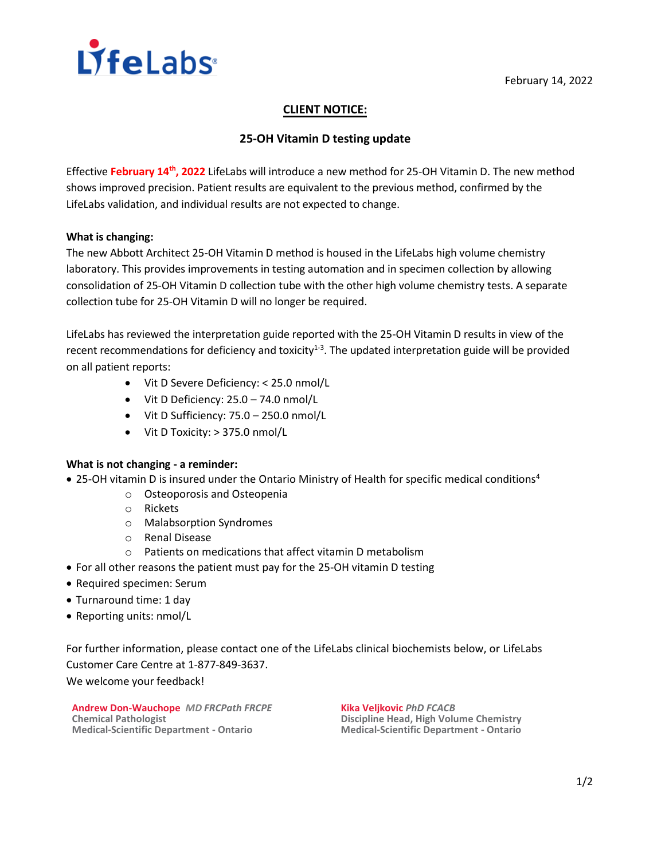

# **CLIENT NOTICE:**

## **25-OH Vitamin D testing update**

Effective **February 14th, 2022** LifeLabs will introduce a new method for 25-OH Vitamin D. The new method shows improved precision. Patient results are equivalent to the previous method, confirmed by the LifeLabs validation, and individual results are not expected to change.

### **What is changing:**

The new Abbott Architect 25-OH Vitamin D method is housed in the LifeLabs high volume chemistry laboratory. This provides improvements in testing automation and in specimen collection by allowing consolidation of 25-OH Vitamin D collection tube with the other high volume chemistry tests. A separate collection tube for 25-OH Vitamin D will no longer be required.

LifeLabs has reviewed the interpretation guide reported with the 25-OH Vitamin D results in view of the recent recommendations for deficiency and toxicity<sup>1-3</sup>. The updated interpretation guide will be provided on all patient reports:

- Vit D Severe Deficiency: < 25.0 nmol/L
- Vit D Deficiency: 25.0 74.0 nmol/L
- Vit D Sufficiency: 75.0 250.0 nmol/L
- Vit D Toxicity: > 375.0 nmol/L

### **What is not changing - a reminder:**

- 25-OH vitamin D is insured under the Ontario Ministry of Health for specific medical conditions<sup>4</sup>
	- o Osteoporosis and Osteopenia
	- o Rickets
	- o Malabsorption Syndromes
	- o Renal Disease
	- o Patients on medications that affect vitamin D metabolism
- For all other reasons the patient must pay for the 25-OH vitamin D testing
- Required specimen: Serum
- Turnaround time: 1 day
- Reporting units: nmol/L

For further information, please contact one of the LifeLabs clinical biochemists below, or LifeLabs Customer Care Centre at 1-877-849-3637. We welcome your feedback!

**Andrew Don-Wauchope** *MD FRCPath FRCPE* **Chemical Pathologist Medical-Scientific Department - Ontario**

**Kika Veljkovic** *PhD FCACB* **Discipline Head, High Volume Chemistry Medical-Scientific Department - Ontario**